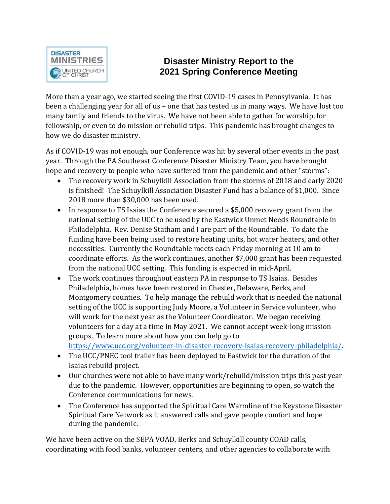

## **Disaster Ministry Report to the 2021 Spring Conference Meeting**

More than a year ago, we started seeing the first COVID-19 cases in Pennsylvania. It has been a challenging year for all of us – one that has tested us in many ways. We have lost too many family and friends to the virus. We have not been able to gather for worship, for fellowship, or even to do mission or rebuild trips. This pandemic has brought changes to how we do disaster ministry.

As if COVID-19 was not enough, our Conference was hit by several other events in the past year. Through the PA Southeast Conference Disaster Ministry Team, you have brought hope and recovery to people who have suffered from the pandemic and other "storms":

- The recovery work in Schuylkill Association from the storms of 2018 and early 2020 is finished! The Schuylkill Association Disaster Fund has a balance of \$1,000. Since 2018 more than \$30,000 has been used.
- In response to TS Isaias the Conference secured a \$5,000 recovery grant from the national setting of the UCC to be used by the Eastwick Unmet Needs Roundtable in Philadelphia. Rev. Denise Statham and I are part of the Roundtable. To date the funding have been being used to restore heating units, hot water heaters, and other necessities. Currently the Roundtable meets each Friday morning at 10 am to coordinate efforts. As the work continues, another \$7,000 grant has been requested from the national UCC setting. This funding is expected in mid-April.
- The work continues throughout eastern PA in response to TS Isaias. Besides Philadelphia, homes have been restored in Chester, Delaware, Berks, and Montgomery counties. To help manage the rebuild work that is needed the national setting of the UCC is supporting Judy Moore, a Volunteer in Service volunteer, who will work for the next year as the Volunteer Coordinator. We began receiving volunteers for a day at a time in May 2021. We cannot accept week-long mission groups. To learn more about how you can help go to
	- [https://www.ucc.org/volunteer-in-disaster-recovery-isaias-recovery-philadelphia/.](https://www.ucc.org/volunteer-in-disaster-recovery-isaias-recovery-philadelphia/)
- The UCC/PNEC tool trailer has been deployed to Eastwick for the duration of the Isaias rebuild project.
- Our churches were not able to have many work/rebuild/mission trips this past year due to the pandemic. However, opportunities are beginning to open, so watch the Conference communications for news.
- The Conference has supported the Spiritual Care Warmline of the Keystone Disaster Spiritual Care Network as it answered calls and gave people comfort and hope during the pandemic.

We have been active on the SEPA VOAD, Berks and Schuylkill county COAD calls, coordinating with food banks, volunteer centers, and other agencies to collaborate with